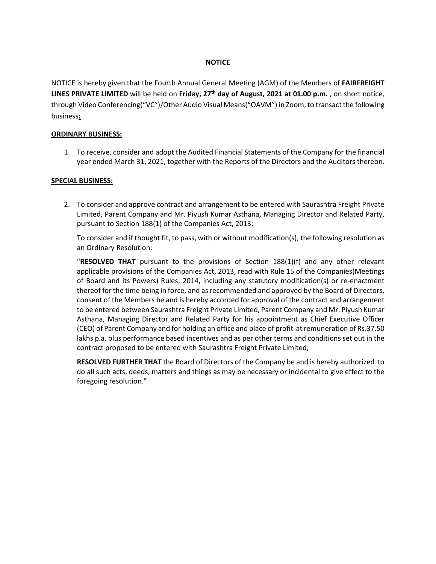## **NOTICE**

NOTICE is hereby given that the Fourth Annual General Meeting (AGM) of the Members of **FAIRFREIGHT LINES PRIVATE LIMITED** will be held on **Friday, 27th day of August, 2021 at 01.00 p.m.** , on short notice, through Video Conferencing("VC")/Other Audio Visual Means("OAVM") in Zoom, to transact the following business**:** 

#### **ORDINARY BUSINESS:**

1. To receive, consider and adopt the Audited Financial Statements of the Company for the financial year ended March 31, 2021, together with the Reports of the Directors and the Auditors thereon.

#### **SPECIAL BUSINESS:**

2. To consider and approve contract and arrangement to be entered with Saurashtra Freight Private Limited, Parent Company and Mr. Piyush Kumar Asthana, Managing Director and Related Party, pursuant to Section 188(1) of the Companies Act, 2013:

To consider and if thought fit, to pass, with or without modification(s), the following resolution as an Ordinary Resolution:

"**RESOLVED THAT** pursuant to the provisions of Section 188(1)(f) and any other relevant applicable provisions of the Companies Act, 2013, read with Rule 15 of the Companies(Meetings of Board and its Powers) Rules, 2014, including any statutory modification(s) or re-enactment thereof for the time being in force, and as recommended and approved by the Board of Directors, consent of the Members be and is hereby accorded for approval of the contract and arrangement to be entered between Saurashtra Freight Private Limited, Parent Company and Mr. Piyush Kumar Asthana, Managing Director and Related Party for his appointment as Chief Executive Officer (CEO) of Parent Company and for holding an office and place of profit at remuneration of Rs.37.50 lakhs p.a. plus performance based incentives and as per other terms and conditions set out in the contract proposed to be entered with Saurashtra Freight Private Limited;

**RESOLVED FURTHER THAT** the Board of Directors of the Company be and is hereby authorized to do all such acts, deeds, matters and things as may be necessary or incidental to give effect to the foregoing resolution."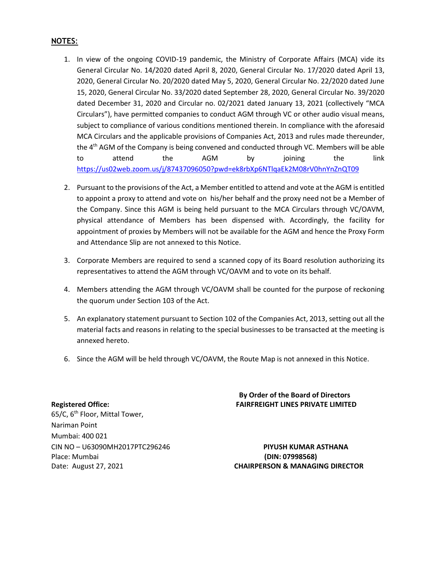# **NOTES**:

- 1. In view of the ongoing COVID-19 pandemic, the Ministry of Corporate Affairs (MCA) vide its General Circular No. 14/2020 dated April 8, 2020, General Circular No. 17/2020 dated April 13, 2020, General Circular No. 20/2020 dated May 5, 2020, General Circular No. 22/2020 dated June 15, 2020, General Circular No. 33/2020 dated September 28, 2020, General Circular No. 39/2020 dated December 31, 2020 and Circular no. 02/2021 dated January 13, 2021 (collectively "MCA Circulars"), have permitted companies to conduct AGM through VC or other audio visual means, subject to compliance of various conditions mentioned therein. In compliance with the aforesaid MCA Circulars and the applicable provisions of Companies Act, 2013 and rules made thereunder, the 4<sup>th</sup> AGM of the Company is being convened and conducted through VC. Members will be able to attend the AGM by joining the link https://us02web.zoom.us/j/87437096050?pwd=ek8rbXp6NTlqaEk2M08rV0hnYnZnQT09
- 2. Pursuant to the provisions of the Act, a Member entitled to attend and vote at the AGM is entitled to appoint a proxy to attend and vote on his/her behalf and the proxy need not be a Member of the Company. Since this AGM is being held pursuant to the MCA Circulars through VC/OAVM, physical attendance of Members has been dispensed with. Accordingly, the facility for appointment of proxies by Members will not be available for the AGM and hence the Proxy Form and Attendance Slip are not annexed to this Notice.
- 3. Corporate Members are required to send a scanned copy of its Board resolution authorizing its representatives to attend the AGM through VC/OAVM and to vote on its behalf.
- 4. Members attending the AGM through VC/OAVM shall be counted for the purpose of reckoning the quorum under Section 103 of the Act.
- 5. An explanatory statement pursuant to Section 102 of the Companies Act, 2013, setting out all the material facts and reasons in relating to the special businesses to be transacted at the meeting is annexed hereto.
- 6. Since the AGM will be held through VC/OAVM, the Route Map is not annexed in this Notice.

**By Order of the Board of Directors Registered Office: FAIRFREIGHT LINES PRIVATE LIMITED** 

65/C, 6<sup>th</sup> Floor, Mittal Tower, Nariman Point Mumbai: 400 021 CIN NO – U63090MH2017PTC296246 **PIYUSH KUMAR ASTHANA**  Place: Mumbai **(DIN: 07998568)**

Date: August 27, 2021 **CHAIRPERSON & MANAGING DIRECTOR**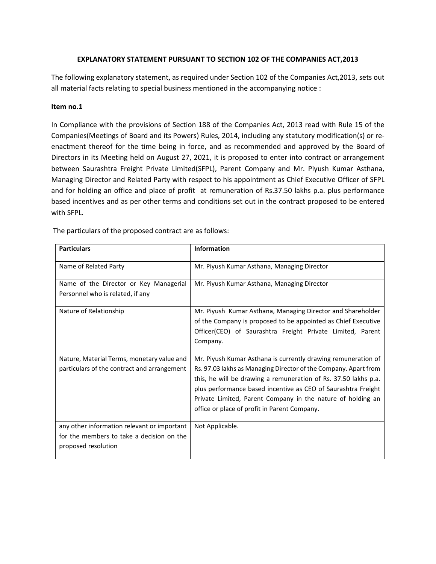### **EXPLANATORY STATEMENT PURSUANT TO SECTION 102 OF THE COMPANIES ACT,2013**

The following explanatory statement, as required under Section 102 of the Companies Act,2013, sets out all material facts relating to special business mentioned in the accompanying notice :

#### **Item no.1**

In Compliance with the provisions of Section 188 of the Companies Act, 2013 read with Rule 15 of the Companies(Meetings of Board and its Powers) Rules, 2014, including any statutory modification(s) or reenactment thereof for the time being in force, and as recommended and approved by the Board of Directors in its Meeting held on August 27, 2021, it is proposed to enter into contract or arrangement between Saurashtra Freight Private Limited(SFPL), Parent Company and Mr. Piyush Kumar Asthana, Managing Director and Related Party with respect to his appointment as Chief Executive Officer of SFPL and for holding an office and place of profit at remuneration of Rs.37.50 lakhs p.a. plus performance based incentives and as per other terms and conditions set out in the contract proposed to be entered with SFPL.

| <b>Particulars</b>                                                                                              | Information                                                                                                                                                                                                                                                                                                                                                                         |
|-----------------------------------------------------------------------------------------------------------------|-------------------------------------------------------------------------------------------------------------------------------------------------------------------------------------------------------------------------------------------------------------------------------------------------------------------------------------------------------------------------------------|
| Name of Related Party                                                                                           | Mr. Piyush Kumar Asthana, Managing Director                                                                                                                                                                                                                                                                                                                                         |
| Name of the Director or Key Managerial<br>Personnel who is related, if any                                      | Mr. Piyush Kumar Asthana, Managing Director                                                                                                                                                                                                                                                                                                                                         |
| Nature of Relationship                                                                                          | Mr. Piyush Kumar Asthana, Managing Director and Shareholder<br>of the Company is proposed to be appointed as Chief Executive<br>Officer(CEO) of Saurashtra Freight Private Limited, Parent<br>Company.                                                                                                                                                                              |
| Nature, Material Terms, monetary value and<br>particulars of the contract and arrangement                       | Mr. Piyush Kumar Asthana is currently drawing remuneration of<br>Rs. 97.03 lakhs as Managing Director of the Company. Apart from<br>this, he will be drawing a remuneration of Rs. 37.50 lakhs p.a.<br>plus performance based incentive as CEO of Saurashtra Freight<br>Private Limited, Parent Company in the nature of holding an<br>office or place of profit in Parent Company. |
| any other information relevant or important<br>for the members to take a decision on the<br>proposed resolution | Not Applicable.                                                                                                                                                                                                                                                                                                                                                                     |

The particulars of the proposed contract are as follows: